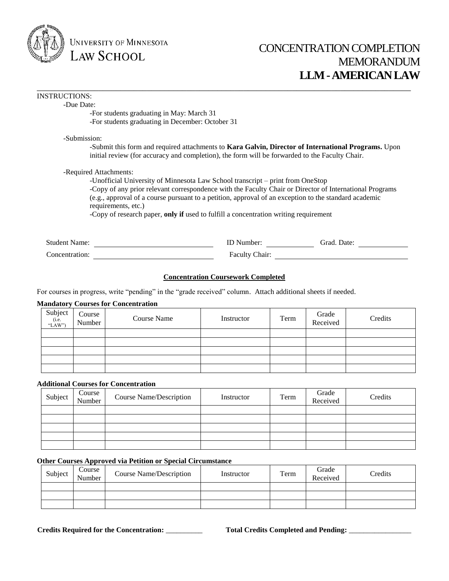

UNIVERSITY OF MINNESOTA **LAW SCHOOL** 

# CONCENTRATION COMPLETION MEMORANDUM **LLM -AMERICAN LAW**

#### INSTRUCTIONS:

-Due Date:

-For students graduating in May: March 31 -For students graduating in December: October 31

-Submission:

-Submit this form and required attachments to **Kara Galvin, Director of International Programs.** Upon initial review (for accuracy and completion), the form will be forwarded to the Faculty Chair.

\_\_\_\_\_\_\_\_\_\_\_\_\_\_\_\_\_\_\_\_\_\_\_\_\_\_\_\_\_\_\_\_\_\_\_\_\_\_\_\_\_\_\_\_\_\_\_\_\_\_\_\_\_\_\_\_\_\_\_\_\_\_\_\_\_\_\_\_\_\_\_\_\_\_\_\_\_\_\_\_\_\_\_\_\_

-Required Attachments:

-Unofficial University of Minnesota Law School transcript – print from OneStop -Copy of any prior relevant correspondence with the Faculty Chair or Director of International Programs (e.g., approval of a course pursuant to a petition, approval of an exception to the standard academic requirements, etc.)

-Copy of research paper, **only if** used to fulfill a concentration writing requirement

| Student<br>Name: | $\sim$ $\sim$ $\sim$ | Jate<br>irad |  |
|------------------|----------------------|--------------|--|
| Concentration:   | Chair:<br>Faculty    |              |  |

# **Concentration Coursework Completed**

For courses in progress, write "pending" in the "grade received" column. Attach additional sheets if needed.

## **Mandatory Courses for Concentration**

| $Subject$ <sub>(i.e.</sub><br>"LAW") | Course<br>Number | Course Name | Instructor | Term | Grade<br>Received | Credits |
|--------------------------------------|------------------|-------------|------------|------|-------------------|---------|
|                                      |                  |             |            |      |                   |         |
|                                      |                  |             |            |      |                   |         |
|                                      |                  |             |            |      |                   |         |
|                                      |                  |             |            |      |                   |         |
|                                      |                  |             |            |      |                   |         |

# **Additional Courses for Concentration**

| Subject | Course<br>Number | Course Name/Description | Instructor | Term | Grade<br>Received | Credits |
|---------|------------------|-------------------------|------------|------|-------------------|---------|
|         |                  |                         |            |      |                   |         |
|         |                  |                         |            |      |                   |         |
|         |                  |                         |            |      |                   |         |
|         |                  |                         |            |      |                   |         |
|         |                  |                         |            |      |                   |         |

#### **Other Courses Approved via Petition or Special Circumstance**

| Subject | Course<br>Number | <b>Course Name/Description</b> | Instructor | Term | Grade<br>Received | Credits |
|---------|------------------|--------------------------------|------------|------|-------------------|---------|
|         |                  |                                |            |      |                   |         |
|         |                  |                                |            |      |                   |         |
|         |                  |                                |            |      |                   |         |

**Credits Required for the Concentration:** \_\_\_\_\_\_\_\_\_\_ **Total Credits Completed and Pending:** \_\_\_\_\_\_\_\_\_\_\_\_\_\_\_\_\_